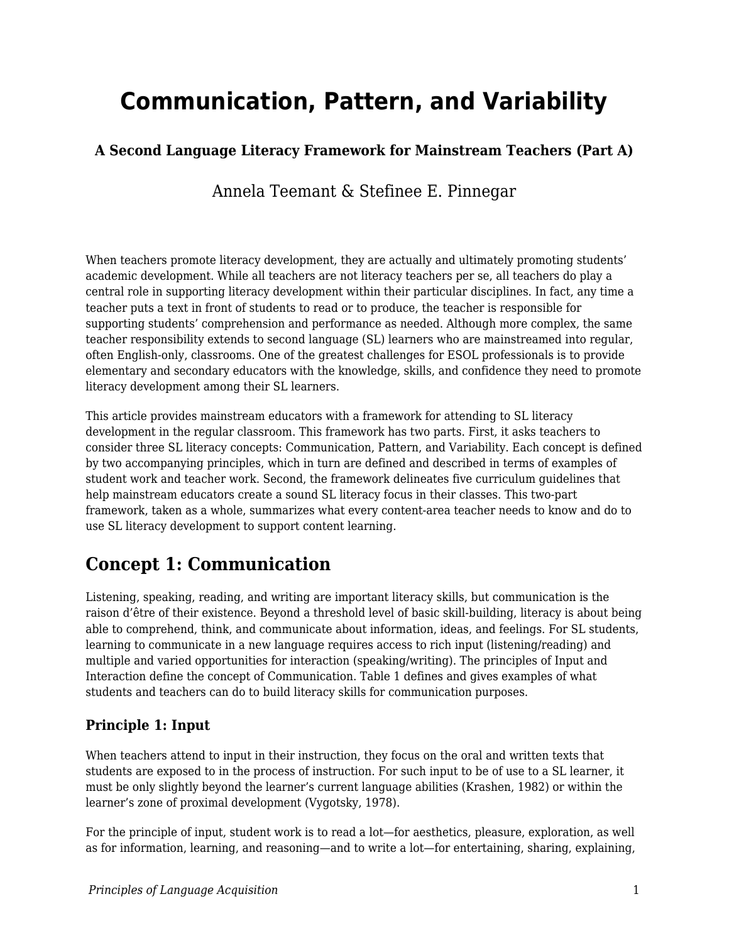# **Communication, Pattern, and Variability**

# **A Second Language Literacy Framework for Mainstream Teachers (Part A)**

Annela Teemant & Stefinee E. Pinnegar

When teachers promote literacy development, they are actually and ultimately promoting students' academic development. While all teachers are not literacy teachers per se, all teachers do play a central role in supporting literacy development within their particular disciplines. In fact, any time a teacher puts a text in front of students to read or to produce, the teacher is responsible for supporting students' comprehension and performance as needed. Although more complex, the same teacher responsibility extends to second language (SL) learners who are mainstreamed into regular, often English-only, classrooms. One of the greatest challenges for ESOL professionals is to provide elementary and secondary educators with the knowledge, skills, and confidence they need to promote literacy development among their SL learners.

This article provides mainstream educators with a framework for attending to SL literacy development in the regular classroom. This framework has two parts. First, it asks teachers to consider three SL literacy concepts: Communication, Pattern, and Variability. Each concept is defined by two accompanying principles, which in turn are defined and described in terms of examples of student work and teacher work. Second, the framework delineates five curriculum guidelines that help mainstream educators create a sound SL literacy focus in their classes. This two-part framework, taken as a whole, summarizes what every content-area teacher needs to know and do to use SL literacy development to support content learning.

# **Concept 1: Communication**

Listening, speaking, reading, and writing are important literacy skills, but communication is the raison d'être of their existence. Beyond a threshold level of basic skill-building, literacy is about being able to comprehend, think, and communicate about information, ideas, and feelings. For SL students, learning to communicate in a new language requires access to rich input (listening/reading) and multiple and varied opportunities for interaction (speaking/writing). The principles of Input and Interaction define the concept of Communication. Table 1 defines and gives examples of what students and teachers can do to build literacy skills for communication purposes.

## **Principle 1: Input**

When teachers attend to input in their instruction, they focus on the oral and written texts that students are exposed to in the process of instruction. For such input to be of use to a SL learner, it must be only slightly beyond the learner's current language abilities (Krashen, 1982) or within the learner's zone of proximal development (Vygotsky, 1978).

For the principle of input, student work is to read a lot—for aesthetics, pleasure, exploration, as well as for information, learning, and reasoning—and to write a lot—for entertaining, sharing, explaining,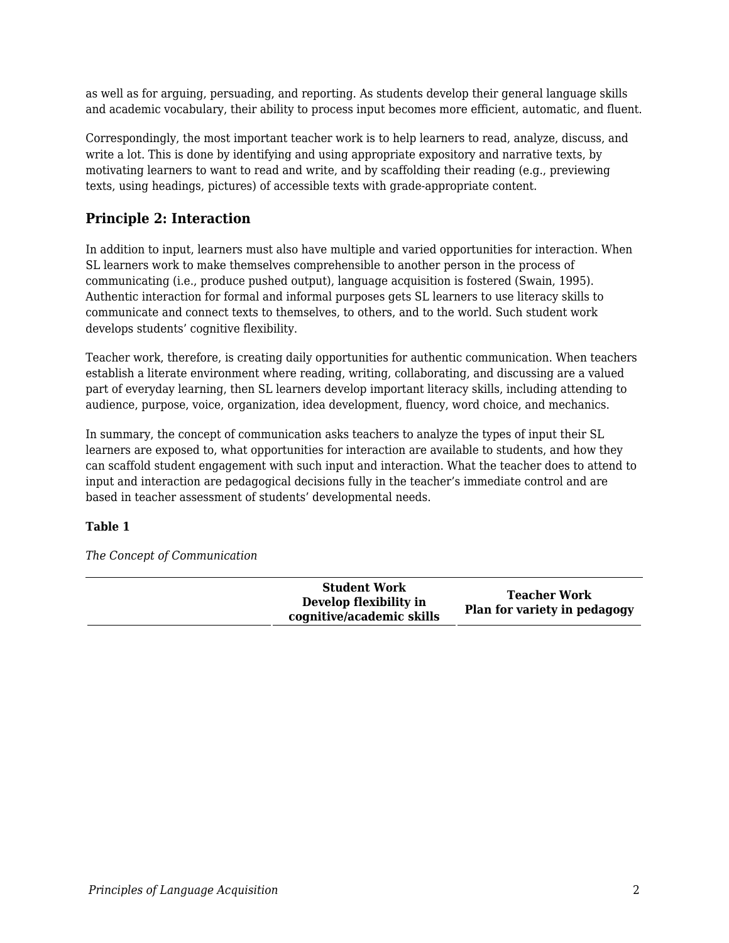as well as for arguing, persuading, and reporting. As students develop their general language skills and academic vocabulary, their ability to process input becomes more efficient, automatic, and fluent.

Correspondingly, the most important teacher work is to help learners to read, analyze, discuss, and write a lot. This is done by identifying and using appropriate expository and narrative texts, by motivating learners to want to read and write, and by scaffolding their reading (e.g., previewing texts, using headings, pictures) of accessible texts with grade-appropriate content.

## **Principle 2: Interaction**

In addition to input, learners must also have multiple and varied opportunities for interaction. When SL learners work to make themselves comprehensible to another person in the process of communicating (i.e., produce pushed output), language acquisition is fostered (Swain, 1995). Authentic interaction for formal and informal purposes gets SL learners to use literacy skills to communicate and connect texts to themselves, to others, and to the world. Such student work develops students' cognitive flexibility.

Teacher work, therefore, is creating daily opportunities for authentic communication. When teachers establish a literate environment where reading, writing, collaborating, and discussing are a valued part of everyday learning, then SL learners develop important literacy skills, including attending to audience, purpose, voice, organization, idea development, fluency, word choice, and mechanics.

In summary, the concept of communication asks teachers to analyze the types of input their SL learners are exposed to, what opportunities for interaction are available to students, and how they can scaffold student engagement with such input and interaction. What the teacher does to attend to input and interaction are pedagogical decisions fully in the teacher's immediate control and are based in teacher assessment of students' developmental needs.

#### **Table 1**

*The Concept of Communication*

| <b>Student Work</b><br>Develop flexibility in<br>cognitive/academic skills | <b>Teacher Work</b><br>Plan for variety in pedagogy |
|----------------------------------------------------------------------------|-----------------------------------------------------|
|----------------------------------------------------------------------------|-----------------------------------------------------|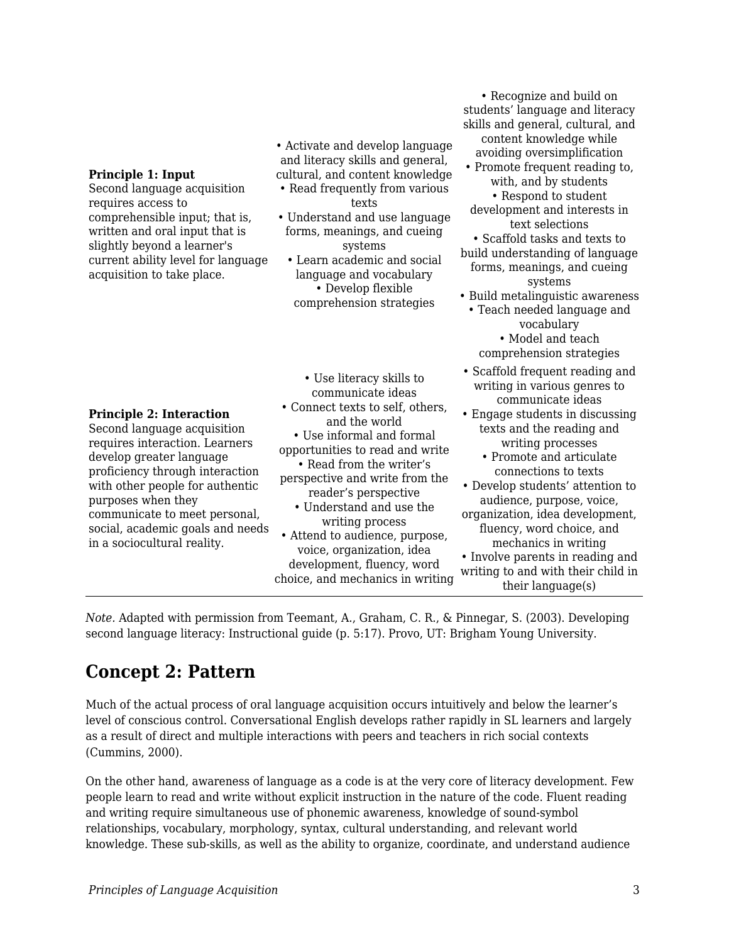Second language acquisition requires access to comprehensible input; that is, written and oral input that is slightly beyond a learner's current ability level for language acquisition to take place.

**Principle 2: Interaction** Second language acquisition requires interaction. Learners develop greater language proficiency through interaction with other people for authentic

purposes when they

in a sociocultural reality.

communicate to meet personal, social, academic goals and needs

- Activate and develop language and literacy skills and general, cultural, and content knowledge
- Read frequently from various texts
- Understand and use language forms, meanings, and cueing systems
- Learn academic and social language and vocabulary • Develop flexible comprehension strategies
- Use literacy skills to communicate ideas
- Connect texts to self, others, and the world
- Use informal and formal opportunities to read and write
- Read from the writer's perspective and write from the reader's perspective
	- Understand and use the writing process
- Attend to audience, purpose, voice, organization, idea development, fluency, word choice, and mechanics in writing

students' language and literacy skills and general, cultural, and content knowledge while avoiding oversimplification • Promote frequent reading to, with, and by students • Respond to student development and interests in text selections • Scaffold tasks and texts to build understanding of language forms, meanings, and cueing systems • Build metalinguistic awareness • Teach needed language and vocabulary • Model and teach comprehension strategies • Scaffold frequent reading and writing in various genres to communicate ideas • Engage students in discussing texts and the reading and writing processes • Promote and articulate connections to texts • Develop students' attention to

• Recognize and build on

- audience, purpose, voice, organization, idea development, fluency, word choice, and mechanics in writing
- Involve parents in reading and writing to and with their child in their language(s)

*Note.* Adapted with permission from Teemant, A., Graham, C. R., & Pinnegar, S. (2003). Developing second language literacy: Instructional guide (p. 5:17). Provo, UT: Brigham Young University.

# **Concept 2: Pattern**

Much of the actual process of oral language acquisition occurs intuitively and below the learner's level of conscious control. Conversational English develops rather rapidly in SL learners and largely as a result of direct and multiple interactions with peers and teachers in rich social contexts (Cummins, 2000).

On the other hand, awareness of language as a code is at the very core of literacy development. Few people learn to read and write without explicit instruction in the nature of the code. Fluent reading and writing require simultaneous use of phonemic awareness, knowledge of sound-symbol relationships, vocabulary, morphology, syntax, cultural understanding, and relevant world knowledge. These sub-skills, as well as the ability to organize, coordinate, and understand audience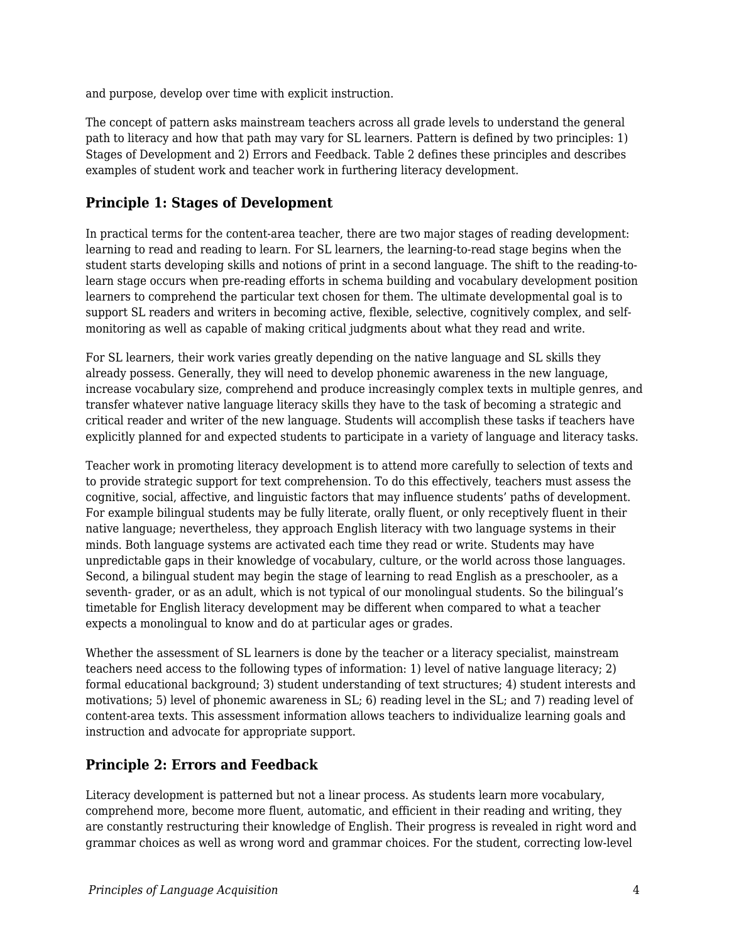and purpose, develop over time with explicit instruction.

The concept of pattern asks mainstream teachers across all grade levels to understand the general path to literacy and how that path may vary for SL learners. Pattern is defined by two principles: 1) Stages of Development and 2) Errors and Feedback. Table 2 defines these principles and describes examples of student work and teacher work in furthering literacy development.

## **Principle 1: Stages of Development**

In practical terms for the content-area teacher, there are two major stages of reading development: learning to read and reading to learn. For SL learners, the learning-to-read stage begins when the student starts developing skills and notions of print in a second language. The shift to the reading-tolearn stage occurs when pre-reading efforts in schema building and vocabulary development position learners to comprehend the particular text chosen for them. The ultimate developmental goal is to support SL readers and writers in becoming active, flexible, selective, cognitively complex, and selfmonitoring as well as capable of making critical judgments about what they read and write.

For SL learners, their work varies greatly depending on the native language and SL skills they already possess. Generally, they will need to develop phonemic awareness in the new language, increase vocabulary size, comprehend and produce increasingly complex texts in multiple genres, and transfer whatever native language literacy skills they have to the task of becoming a strategic and critical reader and writer of the new language. Students will accomplish these tasks if teachers have explicitly planned for and expected students to participate in a variety of language and literacy tasks.

Teacher work in promoting literacy development is to attend more carefully to selection of texts and to provide strategic support for text comprehension. To do this effectively, teachers must assess the cognitive, social, affective, and linguistic factors that may influence students' paths of development. For example bilingual students may be fully literate, orally fluent, or only receptively fluent in their native language; nevertheless, they approach English literacy with two language systems in their minds. Both language systems are activated each time they read or write. Students may have unpredictable gaps in their knowledge of vocabulary, culture, or the world across those languages. Second, a bilingual student may begin the stage of learning to read English as a preschooler, as a seventh- grader, or as an adult, which is not typical of our monolingual students. So the bilingual's timetable for English literacy development may be different when compared to what a teacher expects a monolingual to know and do at particular ages or grades.

Whether the assessment of SL learners is done by the teacher or a literacy specialist, mainstream teachers need access to the following types of information: 1) level of native language literacy; 2) formal educational background; 3) student understanding of text structures; 4) student interests and motivations; 5) level of phonemic awareness in SL; 6) reading level in the SL; and 7) reading level of content-area texts. This assessment information allows teachers to individualize learning goals and instruction and advocate for appropriate support.

# **Principle 2: Errors and Feedback**

Literacy development is patterned but not a linear process. As students learn more vocabulary, comprehend more, become more fluent, automatic, and efficient in their reading and writing, they are constantly restructuring their knowledge of English. Their progress is revealed in right word and grammar choices as well as wrong word and grammar choices. For the student, correcting low-level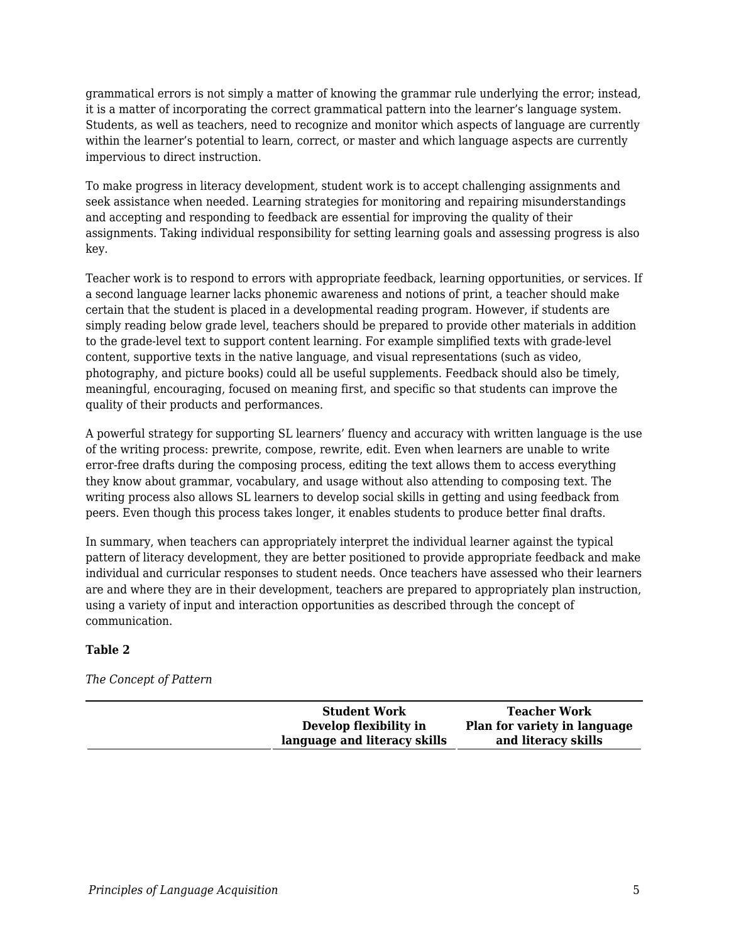grammatical errors is not simply a matter of knowing the grammar rule underlying the error; instead, it is a matter of incorporating the correct grammatical pattern into the learner's language system. Students, as well as teachers, need to recognize and monitor which aspects of language are currently within the learner's potential to learn, correct, or master and which language aspects are currently impervious to direct instruction.

To make progress in literacy development, student work is to accept challenging assignments and seek assistance when needed. Learning strategies for monitoring and repairing misunderstandings and accepting and responding to feedback are essential for improving the quality of their assignments. Taking individual responsibility for setting learning goals and assessing progress is also key.

Teacher work is to respond to errors with appropriate feedback, learning opportunities, or services. If a second language learner lacks phonemic awareness and notions of print, a teacher should make certain that the student is placed in a developmental reading program. However, if students are simply reading below grade level, teachers should be prepared to provide other materials in addition to the grade-level text to support content learning. For example simplified texts with grade-level content, supportive texts in the native language, and visual representations (such as video, photography, and picture books) could all be useful supplements. Feedback should also be timely, meaningful, encouraging, focused on meaning first, and specific so that students can improve the quality of their products and performances.

A powerful strategy for supporting SL learners' fluency and accuracy with written language is the use of the writing process: prewrite, compose, rewrite, edit. Even when learners are unable to write error-free drafts during the composing process, editing the text allows them to access everything they know about grammar, vocabulary, and usage without also attending to composing text. The writing process also allows SL learners to develop social skills in getting and using feedback from peers. Even though this process takes longer, it enables students to produce better final drafts.

In summary, when teachers can appropriately interpret the individual learner against the typical pattern of literacy development, they are better positioned to provide appropriate feedback and make individual and curricular responses to student needs. Once teachers have assessed who their learners are and where they are in their development, teachers are prepared to appropriately plan instruction, using a variety of input and interaction opportunities as described through the concept of communication.

#### **Table 2**

### *The Concept of Pattern*

| <b>Student Work</b>          | <b>Teacher Work</b>          |
|------------------------------|------------------------------|
| Develop flexibility in       | Plan for variety in language |
| language and literacy skills | and literacy skills          |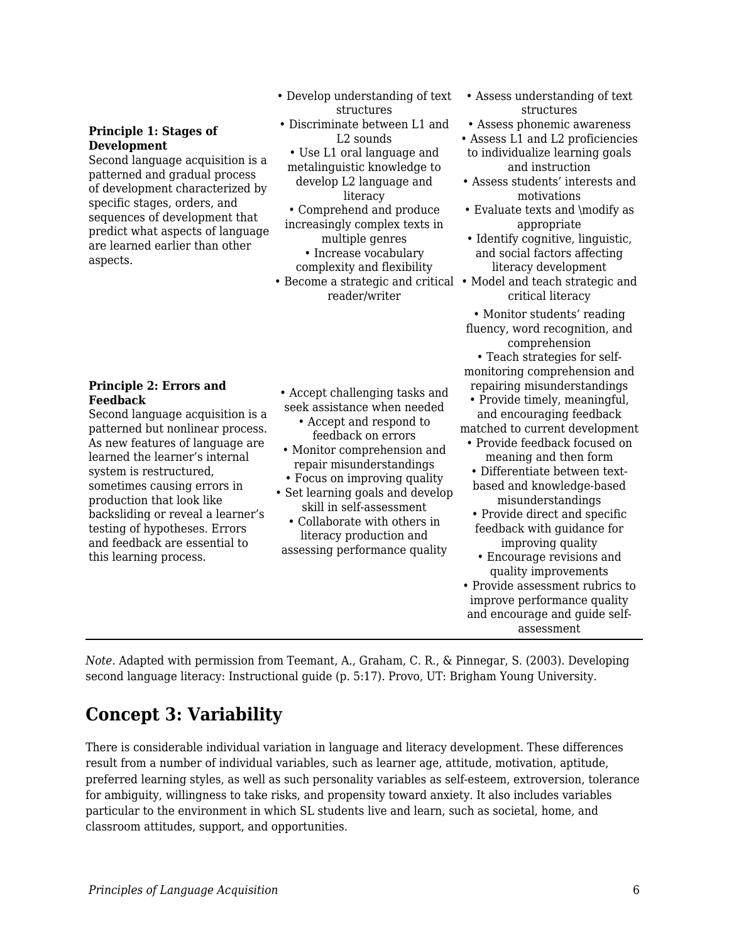#### **Principle 1: Stages of Development**

Second language acquisition is a patterned and gradual process of development characterized by specific stages, orders, and sequences of development that predict what aspects of language are learned earlier than other aspects.

## **Principle 2: Errors and Feedback**

Second language acquisition is a patterned but nonlinear process. As new features of language are learned the learner's internal system is restructured, sometimes causing errors in production that look like backsliding or reveal a learner's testing of hypotheses. Errors and feedback are essential to this learning process.

- Develop understanding of text structures
- Discriminate between L1 and L2 sounds
- Use L1 oral language and metalinguistic knowledge to develop L2 language and literacy
- Comprehend and produce increasingly complex texts in multiple genres • Increase vocabulary
- complexity and flexibility • Become a strategic and critical • Model and teach strategic and reader/writer
- Accept challenging tasks and seek assistance when needed
- Accept and respond to feedback on errors
- Monitor comprehension and repair misunderstandings
- Focus on improving quality
- Set learning goals and develop skill in self-assessment
- Collaborate with others in literacy production and assessing performance quality
- Assess understanding of text structures
- Assess phonemic awareness
- Assess L1 and L2 proficiencies to individualize learning goals and instruction
- Assess students' interests and motivations
- Evaluate texts and \modify as appropriate
- Identify cognitive, linguistic, and social factors affecting literacy development
- critical literacy
- Monitor students' reading fluency, word recognition, and comprehension
- Teach strategies for selfmonitoring comprehension and repairing misunderstandings
- Provide timely, meaningful, and encouraging feedback matched to current development
- Provide feedback focused on meaning and then form • Differentiate between textbased and knowledge-based
- misunderstandings • Provide direct and specific
- feedback with guidance for improving quality
- Encourage revisions and quality improvements
- Provide assessment rubrics to improve performance quality and encourage and guide selfassessment

*Note.* Adapted with permission from Teemant, A., Graham, C. R., & Pinnegar, S. (2003). Developing second language literacy: Instructional guide (p. 5:17). Provo, UT: Brigham Young University.

# **Concept 3: Variability**

There is considerable individual variation in language and literacy development. These differences result from a number of individual variables, such as learner age, attitude, motivation, aptitude, preferred learning styles, as well as such personality variables as self-esteem, extroversion, tolerance for ambiguity, willingness to take risks, and propensity toward anxiety. It also includes variables particular to the environment in which SL students live and learn, such as societal, home, and classroom attitudes, support, and opportunities.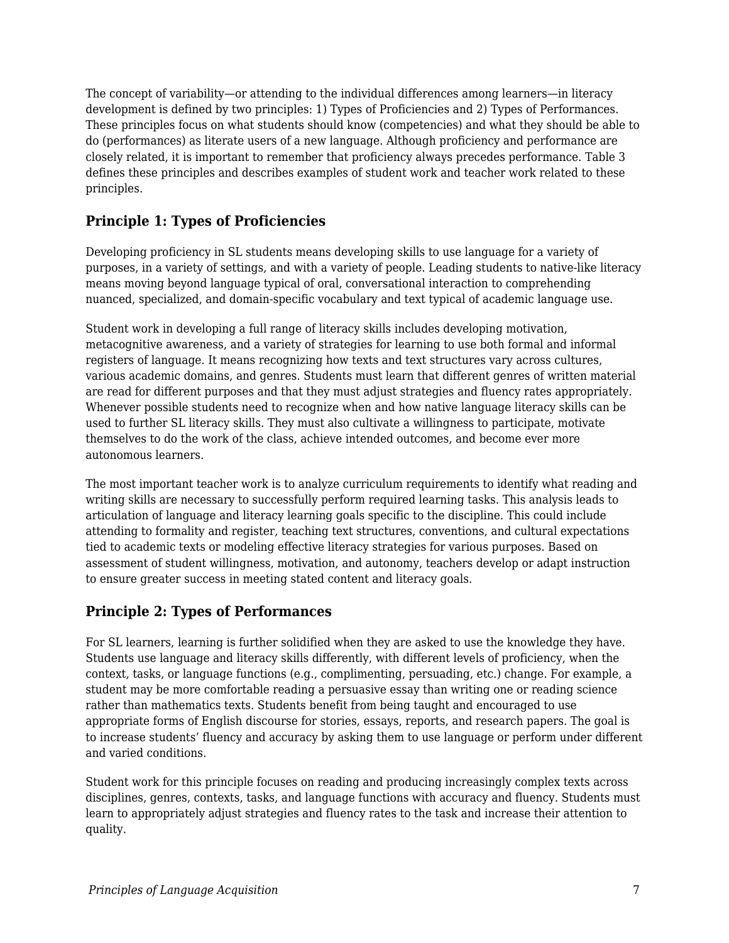The concept of variability—or attending to the individual differences among learners—in literacy development is defined by two principles: 1) Types of Proficiencies and 2) Types of Performances. These principles focus on what students should know (competencies) and what they should be able to do (performances) as literate users of a new language. Although proficiency and performance are closely related, it is important to remember that proficiency always precedes performance. Table 3 defines these principles and describes examples of student work and teacher work related to these principles.

# **Principle 1: Types of Proficiencies**

Developing proficiency in SL students means developing skills to use language for a variety of purposes, in a variety of settings, and with a variety of people. Leading students to native-like literacy means moving beyond language typical of oral, conversational interaction to comprehending nuanced, specialized, and domain-specific vocabulary and text typical of academic language use.

Student work in developing a full range of literacy skills includes developing motivation, metacognitive awareness, and a variety of strategies for learning to use both formal and informal registers of language. It means recognizing how texts and text structures vary across cultures, various academic domains, and genres. Students must learn that different genres of written material are read for different purposes and that they must adjust strategies and fluency rates appropriately. Whenever possible students need to recognize when and how native language literacy skills can be used to further SL literacy skills. They must also cultivate a willingness to participate, motivate themselves to do the work of the class, achieve intended outcomes, and become ever more autonomous learners.

The most important teacher work is to analyze curriculum requirements to identify what reading and writing skills are necessary to successfully perform required learning tasks. This analysis leads to articulation of language and literacy learning goals specific to the discipline. This could include attending to formality and register, teaching text structures, conventions, and cultural expectations tied to academic texts or modeling effective literacy strategies for various purposes. Based on assessment of student willingness, motivation, and autonomy, teachers develop or adapt instruction to ensure greater success in meeting stated content and literacy goals.

# **Principle 2: Types of Performances**

For SL learners, learning is further solidified when they are asked to use the knowledge they have. Students use language and literacy skills differently, with different levels of proficiency, when the context, tasks, or language functions (e.g., complimenting, persuading, etc.) change. For example, a student may be more comfortable reading a persuasive essay than writing one or reading science rather than mathematics texts. Students benefit from being taught and encouraged to use appropriate forms of English discourse for stories, essays, reports, and research papers. The goal is to increase students' fluency and accuracy by asking them to use language or perform under different and varied conditions.

Student work for this principle focuses on reading and producing increasingly complex texts across disciplines, genres, contexts, tasks, and language functions with accuracy and fluency. Students must learn to appropriately adjust strategies and fluency rates to the task and increase their attention to quality.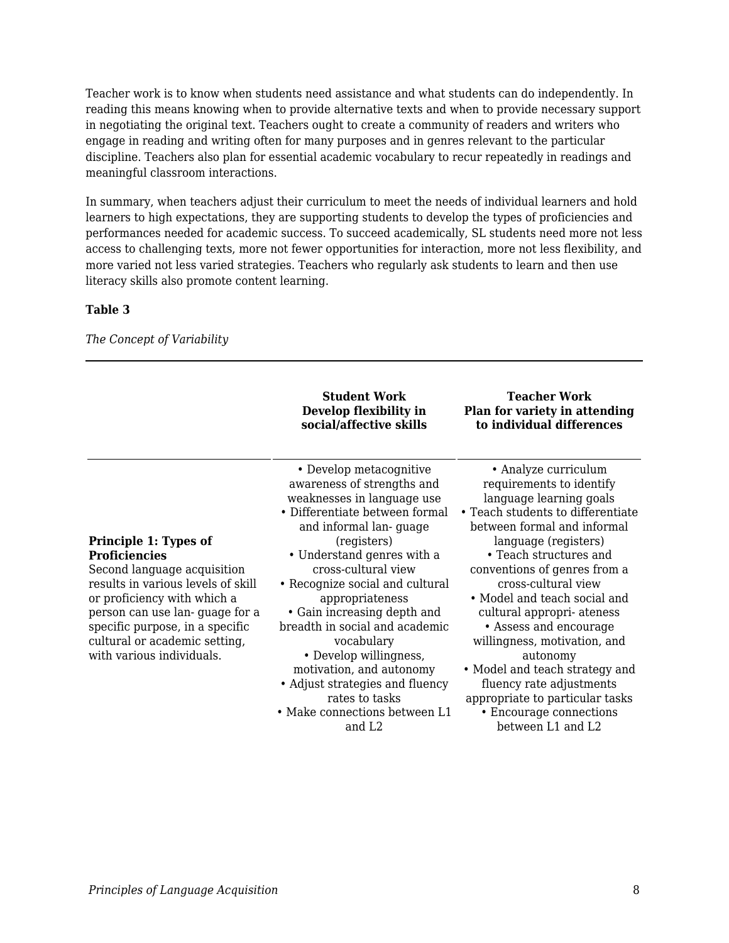Teacher work is to know when students need assistance and what students can do independently. In reading this means knowing when to provide alternative texts and when to provide necessary support in negotiating the original text. Teachers ought to create a community of readers and writers who engage in reading and writing often for many purposes and in genres relevant to the particular discipline. Teachers also plan for essential academic vocabulary to recur repeatedly in readings and meaningful classroom interactions.

In summary, when teachers adjust their curriculum to meet the needs of individual learners and hold learners to high expectations, they are supporting students to develop the types of proficiencies and performances needed for academic success. To succeed academically, SL students need more not less access to challenging texts, more not fewer opportunities for interaction, more not less flexibility, and more varied not less varied strategies. Teachers who regularly ask students to learn and then use literacy skills also promote content learning.

#### **Table 3**

*The Concept of Variability*

|                                                                                                                                                                                                                                                                                      | <b>Student Work</b><br>Develop flexibility in<br>social/affective skills                                                                                                                                                                                                                                                                                                                                                                                                                                                   | <b>Teacher Work</b><br>Plan for variety in attending<br>to individual differences                                                                                                                                                                                                                                                                                                                                                                                                                                                            |
|--------------------------------------------------------------------------------------------------------------------------------------------------------------------------------------------------------------------------------------------------------------------------------------|----------------------------------------------------------------------------------------------------------------------------------------------------------------------------------------------------------------------------------------------------------------------------------------------------------------------------------------------------------------------------------------------------------------------------------------------------------------------------------------------------------------------------|----------------------------------------------------------------------------------------------------------------------------------------------------------------------------------------------------------------------------------------------------------------------------------------------------------------------------------------------------------------------------------------------------------------------------------------------------------------------------------------------------------------------------------------------|
| Principle 1: Types of<br><b>Proficiencies</b><br>Second language acquisition<br>results in various levels of skill<br>or proficiency with which a<br>person can use lan-guage for a<br>specific purpose, in a specific<br>cultural or academic setting,<br>with various individuals. | • Develop metacognitive<br>awareness of strengths and<br>weaknesses in language use<br>• Differentiate between formal<br>and informal lan-guage<br>(registers)<br>• Understand genres with a<br>cross-cultural view<br>• Recognize social and cultural<br>appropriateness<br>• Gain increasing depth and<br>breadth in social and academic<br>vocabulary<br>• Develop willingness,<br>motivation, and autonomy<br>• Adjust strategies and fluency<br>rates to tasks<br>• Make connections between L1<br>and L <sub>2</sub> | • Analyze curriculum<br>requirements to identify<br>language learning goals<br>• Teach students to differentiate<br>between formal and informal<br>language (registers)<br>• Teach structures and<br>conventions of genres from a<br>cross-cultural view<br>• Model and teach social and<br>cultural appropri-ateness<br>• Assess and encourage<br>willingness, motivation, and<br>autonomy<br>• Model and teach strategy and<br>fluency rate adjustments<br>appropriate to particular tasks<br>• Encourage connections<br>between L1 and L2 |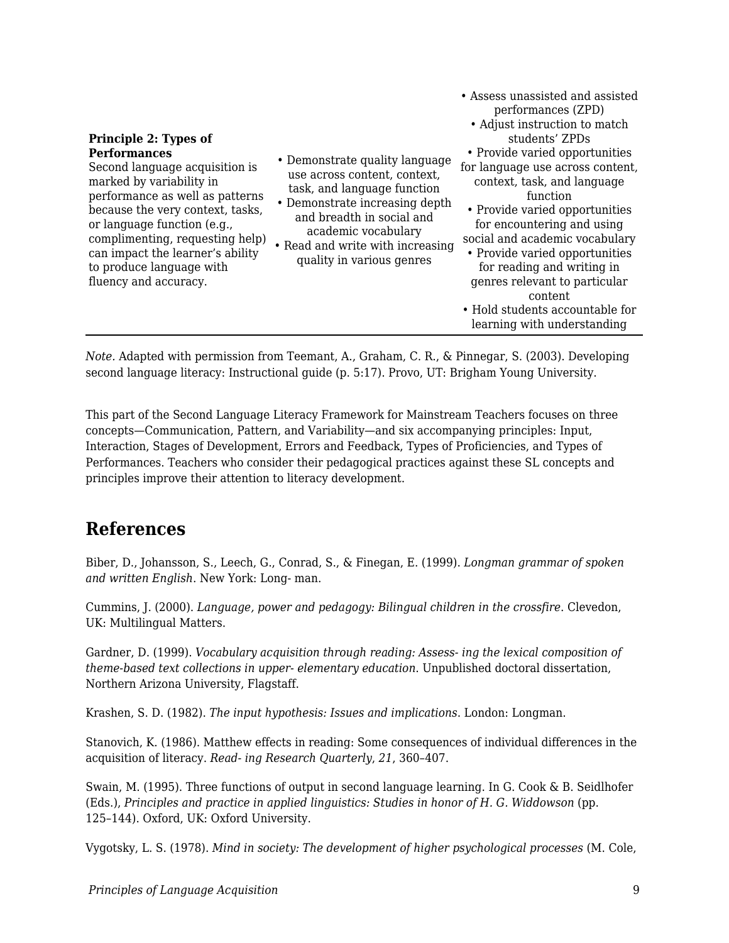| Principle 2: Types of<br><b>Performances</b><br>Second language acquisition is<br>marked by variability in<br>performance as well as patterns<br>because the very context, tasks,<br>or language function (e.g.,<br>complimenting, requesting help)<br>can impact the learner's ability<br>to produce language with<br>fluency and accuracy. | • Demonstrate quality language<br>use across content, context,<br>task, and language function<br>• Demonstrate increasing depth<br>and breadth in social and<br>academic vocabulary<br>• Read and write with increasing<br>quality in various genres | • Assess unassisted and assisted<br>performances (ZPD)<br>• Adjust instruction to match<br>students' ZPDs<br>• Provide varied opportunities<br>for language use across content,<br>context, task, and language<br>function<br>• Provide varied opportunities<br>for encountering and using<br>social and academic vocabulary<br>• Provide varied opportunities<br>for reading and writing in<br>genres relevant to particular<br>content<br>• Hold students accountable for<br>learning with understanding |
|----------------------------------------------------------------------------------------------------------------------------------------------------------------------------------------------------------------------------------------------------------------------------------------------------------------------------------------------|------------------------------------------------------------------------------------------------------------------------------------------------------------------------------------------------------------------------------------------------------|------------------------------------------------------------------------------------------------------------------------------------------------------------------------------------------------------------------------------------------------------------------------------------------------------------------------------------------------------------------------------------------------------------------------------------------------------------------------------------------------------------|
|----------------------------------------------------------------------------------------------------------------------------------------------------------------------------------------------------------------------------------------------------------------------------------------------------------------------------------------------|------------------------------------------------------------------------------------------------------------------------------------------------------------------------------------------------------------------------------------------------------|------------------------------------------------------------------------------------------------------------------------------------------------------------------------------------------------------------------------------------------------------------------------------------------------------------------------------------------------------------------------------------------------------------------------------------------------------------------------------------------------------------|

*Note.* Adapted with permission from Teemant, A., Graham, C. R., & Pinnegar, S. (2003). Developing second language literacy: Instructional guide (p. 5:17). Provo, UT: Brigham Young University.

This part of the Second Language Literacy Framework for Mainstream Teachers focuses on three concepts—Communication, Pattern, and Variability—and six accompanying principles: Input, Interaction, Stages of Development, Errors and Feedback, Types of Proficiencies, and Types of Performances. Teachers who consider their pedagogical practices against these SL concepts and principles improve their attention to literacy development.

# **References**

Biber, D., Johansson, S., Leech, G., Conrad, S., & Finegan, E. (1999). *Longman grammar of spoken and written English*. New York: Long- man.

Cummins, J. (2000). *Language, power and pedagogy: Bilingual children in the crossfire*. Clevedon, UK: Multilingual Matters.

Gardner, D. (1999). *Vocabulary acquisition through reading: Assess- ing the lexical composition of theme-based text collections in upper- elementary education*. Unpublished doctoral dissertation, Northern Arizona University, Flagstaff.

Krashen, S. D. (1982). *The input hypothesis: Issues and implications*. London: Longman.

Stanovich, K. (1986). Matthew effects in reading: Some consequences of individual differences in the acquisition of literacy. *Read- ing Research Quarterly*, *21*, 360–407.

Swain, M. (1995). Three functions of output in second language learning. In G. Cook & B. Seidlhofer (Eds.), *Principles and practice in applied linguistics: Studies in honor of H. G. Widdowson* (pp. 125–144). Oxford, UK: Oxford University.

Vygotsky, L. S. (1978). *Mind in society: The development of higher psychological processes* (M. Cole,